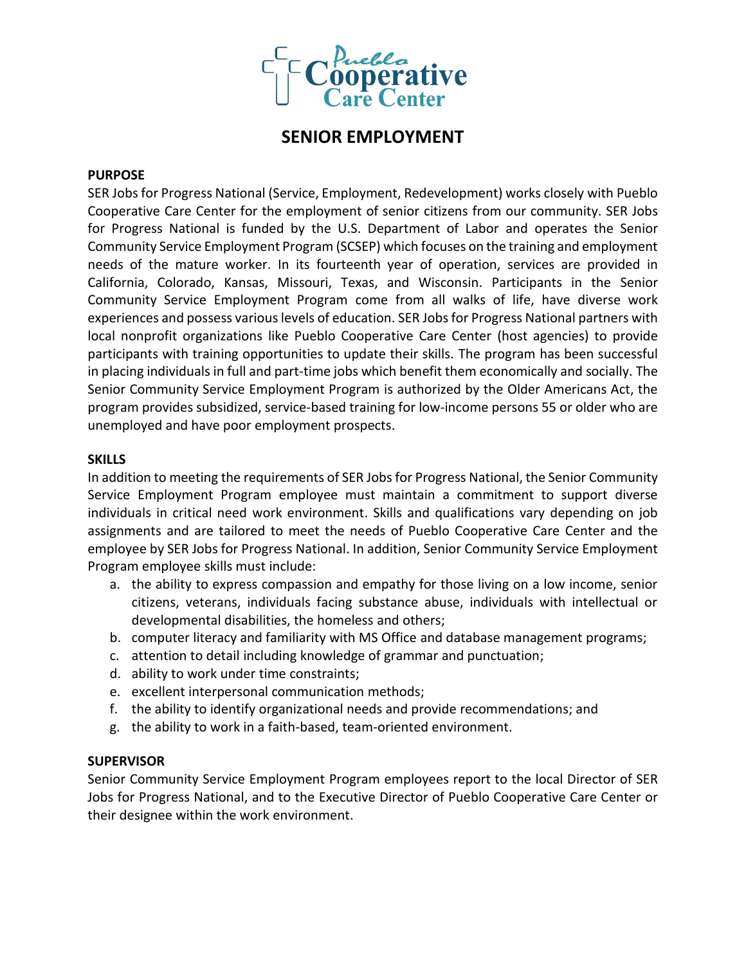

# **SENIOR EMPLOYMENT**

## **PURPOSE**

SER Jobs for Progress National (Service, Employment, Redevelopment) works closely with Pueblo Cooperative Care Center for the employment of senior citizens from our community. SER Jobs for Progress National is funded by the U.S. Department of Labor and operates the Senior Community Service Employment Program (SCSEP) which focuses on the training and employment needs of the mature worker. In its fourteenth year of operation, services are provided in California, Colorado, Kansas, Missouri, Texas, and Wisconsin. Participants in the Senior Community Service Employment Program come from all walks of life, have diverse work experiences and possess various levels of education. SER Jobs for Progress National partners with local nonprofit organizations like Pueblo Cooperative Care Center (host agencies) to provide participants with training opportunities to update their skills. The program has been successful in placing individuals in full and part-time jobs which benefit them economically and socially. The Senior Community Service Employment Program is authorized by the Older Americans Act, the program provides subsidized, service-based training for low-income persons 55 or older who are unemployed and have poor employment prospects.

## **SKILLS**

In addition to meeting the requirements of SER Jobs for Progress National, the Senior Community Service Employment Program employee must maintain a commitment to support diverse individuals in critical need work environment. Skills and qualifications vary depending on job assignments and are tailored to meet the needs of Pueblo Cooperative Care Center and the employee by SER Jobs for Progress National. In addition, Senior Community Service Employment Program employee skills must include:

- a. the ability to express compassion and empathy for those living on a low income, senior citizens, veterans, individuals facing substance abuse, individuals with intellectual or developmental disabilities, the homeless and others;
- b. computer literacy and familiarity with MS Office and database management programs;
- c. attention to detail including knowledge of grammar and punctuation;
- d. ability to work under time constraints;
- e. excellent interpersonal communication methods;
- f. the ability to identify organizational needs and provide recommendations; and
- g. the ability to work in a faith-based, team-oriented environment.

# **SUPERVISOR**

Senior Community Service Employment Program employees report to the local Director of SER Jobs for Progress National, and to the Executive Director of Pueblo Cooperative Care Center or their designee within the work environment.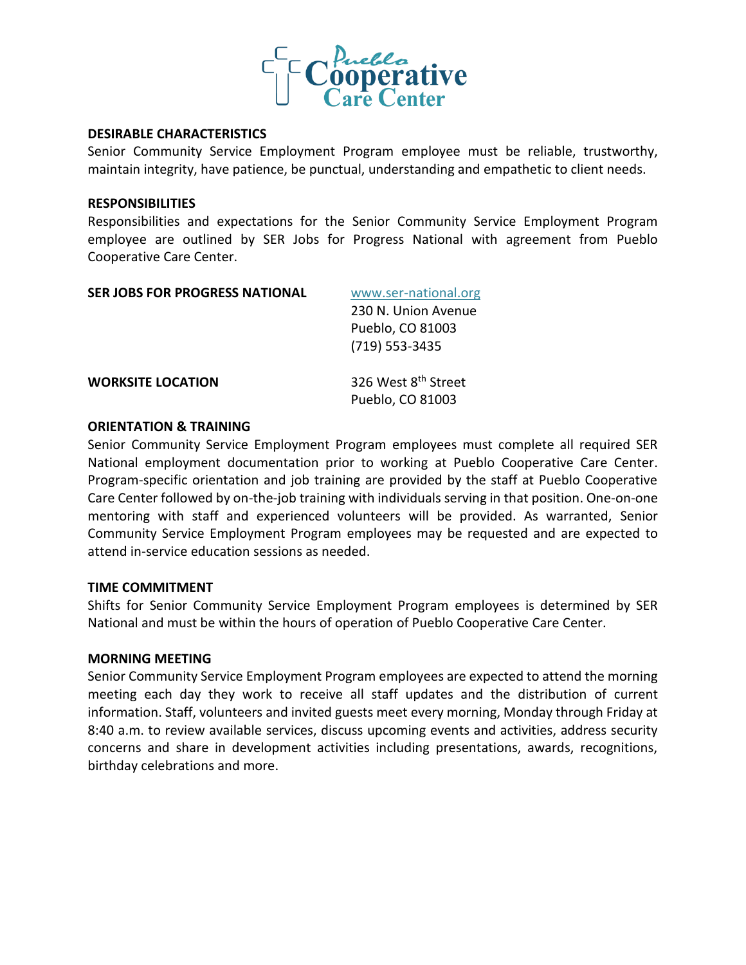

## **DESIRABLE CHARACTERISTICS**

Senior Community Service Employment Program employee must be reliable, trustworthy, maintain integrity, have patience, be punctual, understanding and empathetic to client needs.

#### **RESPONSIBILITIES**

Responsibilities and expectations for the Senior Community Service Employment Program employee are outlined by SER Jobs for Progress National with agreement from Pueblo Cooperative Care Center.

| <b>SER JOBS FOR PROGRESS NATIONAL</b> | www.ser-national.org                                |
|---------------------------------------|-----------------------------------------------------|
|                                       | 230 N. Union Avenue                                 |
|                                       | Pueblo, CO 81003                                    |
|                                       | (719) 553-3435                                      |
| <b>WORKSITE LOCATION</b>              | 326 West 8 <sup>th</sup> Street<br>Pueblo, CO 81003 |

## **ORIENTATION & TRAINING**

Senior Community Service Employment Program employees must complete all required SER National employment documentation prior to working at Pueblo Cooperative Care Center. Program-specific orientation and job training are provided by the staff at Pueblo Cooperative Care Center followed by on-the-job training with individuals serving in that position. One-on-one mentoring with staff and experienced volunteers will be provided. As warranted, Senior Community Service Employment Program employees may be requested and are expected to attend in-service education sessions as needed.

#### **TIME COMMITMENT**

Shifts for Senior Community Service Employment Program employees is determined by SER National and must be within the hours of operation of Pueblo Cooperative Care Center.

# **MORNING MEETING**

Senior Community Service Employment Program employees are expected to attend the morning meeting each day they work to receive all staff updates and the distribution of current information. Staff, volunteers and invited guests meet every morning, Monday through Friday at 8:40 a.m. to review available services, discuss upcoming events and activities, address security concerns and share in development activities including presentations, awards, recognitions, birthday celebrations and more.